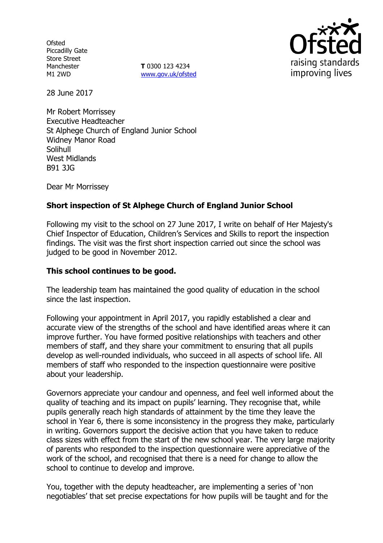**Ofsted** Piccadilly Gate Store Street Manchester M1 2WD

**T** 0300 123 4234 www.gov.uk/ofsted



28 June 2017

Mr Robert Morrissey Executive Headteacher St Alphege Church of England Junior School Widney Manor Road Solihull West Midlands B91 3JG

Dear Mr Morrissey

# **Short inspection of St Alphege Church of England Junior School**

Following my visit to the school on 27 June 2017, I write on behalf of Her Majesty's Chief Inspector of Education, Children's Services and Skills to report the inspection findings. The visit was the first short inspection carried out since the school was judged to be good in November 2012.

### **This school continues to be good.**

The leadership team has maintained the good quality of education in the school since the last inspection.

Following your appointment in April 2017, you rapidly established a clear and accurate view of the strengths of the school and have identified areas where it can improve further. You have formed positive relationships with teachers and other members of staff, and they share your commitment to ensuring that all pupils develop as well-rounded individuals, who succeed in all aspects of school life. All members of staff who responded to the inspection questionnaire were positive about your leadership.

Governors appreciate your candour and openness, and feel well informed about the quality of teaching and its impact on pupils' learning. They recognise that, while pupils generally reach high standards of attainment by the time they leave the school in Year 6, there is some inconsistency in the progress they make, particularly in writing. Governors support the decisive action that you have taken to reduce class sizes with effect from the start of the new school year. The very large majority of parents who responded to the inspection questionnaire were appreciative of the work of the school, and recognised that there is a need for change to allow the school to continue to develop and improve.

You, together with the deputy headteacher, are implementing a series of 'non negotiables' that set precise expectations for how pupils will be taught and for the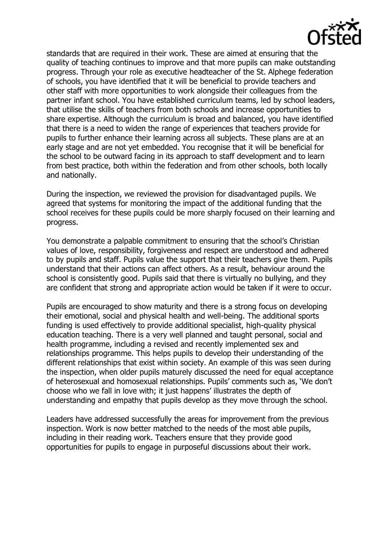

standards that are required in their work. These are aimed at ensuring that the quality of teaching continues to improve and that more pupils can make outstanding progress. Through your role as executive headteacher of the St. Alphege federation of schools, you have identified that it will be beneficial to provide teachers and other staff with more opportunities to work alongside their colleagues from the partner infant school. You have established curriculum teams, led by school leaders, that utilise the skills of teachers from both schools and increase opportunities to share expertise. Although the curriculum is broad and balanced, you have identified that there is a need to widen the range of experiences that teachers provide for pupils to further enhance their learning across all subjects. These plans are at an early stage and are not yet embedded. You recognise that it will be beneficial for the school to be outward facing in its approach to staff development and to learn from best practice, both within the federation and from other schools, both locally and nationally.

During the inspection, we reviewed the provision for disadvantaged pupils. We agreed that systems for monitoring the impact of the additional funding that the school receives for these pupils could be more sharply focused on their learning and progress.

You demonstrate a palpable commitment to ensuring that the school's Christian values of love, responsibility, forgiveness and respect are understood and adhered to by pupils and staff. Pupils value the support that their teachers give them. Pupils understand that their actions can affect others. As a result, behaviour around the school is consistently good. Pupils said that there is virtually no bullying, and they are confident that strong and appropriate action would be taken if it were to occur.

Pupils are encouraged to show maturity and there is a strong focus on developing their emotional, social and physical health and well-being. The additional sports funding is used effectively to provide additional specialist, high-quality physical education teaching. There is a very well planned and taught personal, social and health programme, including a revised and recently implemented sex and relationships programme. This helps pupils to develop their understanding of the different relationships that exist within society. An example of this was seen during the inspection, when older pupils maturely discussed the need for equal acceptance of heterosexual and homosexual relationships. Pupils' comments such as, 'We don't choose who we fall in love with; it just happens' illustrates the depth of understanding and empathy that pupils develop as they move through the school.

Leaders have addressed successfully the areas for improvement from the previous inspection. Work is now better matched to the needs of the most able pupils, including in their reading work. Teachers ensure that they provide good opportunities for pupils to engage in purposeful discussions about their work.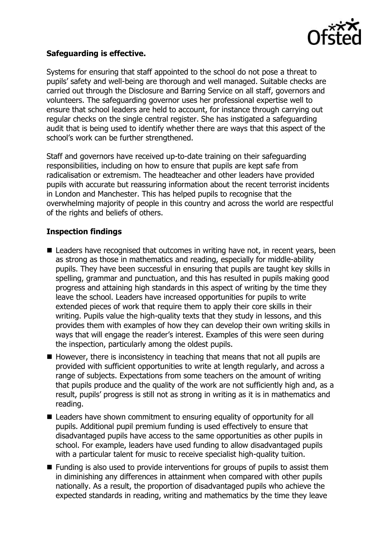

### **Safeguarding is effective.**

Systems for ensuring that staff appointed to the school do not pose a threat to pupils' safety and well-being are thorough and well managed. Suitable checks are carried out through the Disclosure and Barring Service on all staff, governors and volunteers. The safeguarding governor uses her professional expertise well to ensure that school leaders are held to account, for instance through carrying out regular checks on the single central register. She has instigated a safeguarding audit that is being used to identify whether there are ways that this aspect of the school's work can be further strengthened.

Staff and governors have received up-to-date training on their safeguarding responsibilities, including on how to ensure that pupils are kept safe from radicalisation or extremism. The headteacher and other leaders have provided pupils with accurate but reassuring information about the recent terrorist incidents in London and Manchester. This has helped pupils to recognise that the overwhelming majority of people in this country and across the world are respectful of the rights and beliefs of others.

## **Inspection findings**

- Leaders have recognised that outcomes in writing have not, in recent years, been as strong as those in mathematics and reading, especially for middle-ability pupils. They have been successful in ensuring that pupils are taught key skills in spelling, grammar and punctuation, and this has resulted in pupils making good progress and attaining high standards in this aspect of writing by the time they leave the school. Leaders have increased opportunities for pupils to write extended pieces of work that require them to apply their core skills in their writing. Pupils value the high-quality texts that they study in lessons, and this provides them with examples of how they can develop their own writing skills in ways that will engage the reader's interest. Examples of this were seen during the inspection, particularly among the oldest pupils.
- $\blacksquare$  However, there is inconsistency in teaching that means that not all pupils are provided with sufficient opportunities to write at length regularly, and across a range of subjects. Expectations from some teachers on the amount of writing that pupils produce and the quality of the work are not sufficiently high and, as a result, pupils' progress is still not as strong in writing as it is in mathematics and reading.
- Leaders have shown commitment to ensuring equality of opportunity for all pupils. Additional pupil premium funding is used effectively to ensure that disadvantaged pupils have access to the same opportunities as other pupils in school. For example, leaders have used funding to allow disadvantaged pupils with a particular talent for music to receive specialist high-quality tuition.
- Funding is also used to provide interventions for groups of pupils to assist them in diminishing any differences in attainment when compared with other pupils nationally. As a result, the proportion of disadvantaged pupils who achieve the expected standards in reading, writing and mathematics by the time they leave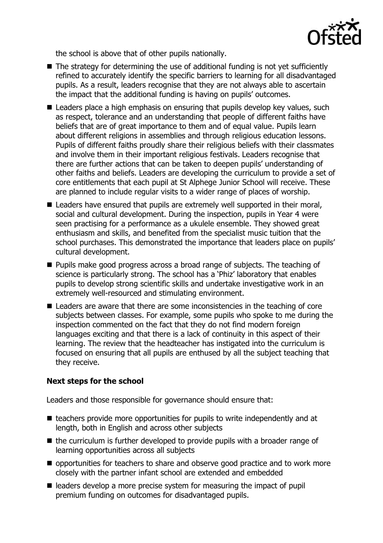

the school is above that of other pupils nationally.

- The strategy for determining the use of additional funding is not yet sufficiently refined to accurately identify the specific barriers to learning for all disadvantaged pupils. As a result, leaders recognise that they are not always able to ascertain the impact that the additional funding is having on pupils' outcomes.
- Leaders place a high emphasis on ensuring that pupils develop key values, such as respect, tolerance and an understanding that people of different faiths have beliefs that are of great importance to them and of equal value. Pupils learn about different religions in assemblies and through religious education lessons. Pupils of different faiths proudly share their religious beliefs with their classmates and involve them in their important religious festivals. Leaders recognise that there are further actions that can be taken to deepen pupils' understanding of other faiths and beliefs. Leaders are developing the curriculum to provide a set of core entitlements that each pupil at St Alphege Junior School will receive. These are planned to include regular visits to a wider range of places of worship.
- Leaders have ensured that pupils are extremely well supported in their moral, social and cultural development. During the inspection, pupils in Year 4 were seen practising for a performance as a ukulele ensemble. They showed great enthusiasm and skills, and benefited from the specialist music tuition that the school purchases. This demonstrated the importance that leaders place on pupils' cultural development.
- **Pupils make good progress across a broad range of subjects. The teaching of** science is particularly strong. The school has a 'Phiz' laboratory that enables pupils to develop strong scientific skills and undertake investigative work in an extremely well-resourced and stimulating environment.
- Leaders are aware that there are some inconsistencies in the teaching of core subjects between classes. For example, some pupils who spoke to me during the inspection commented on the fact that they do not find modern foreign languages exciting and that there is a lack of continuity in this aspect of their learning. The review that the headteacher has instigated into the curriculum is focused on ensuring that all pupils are enthused by all the subject teaching that they receive.

# **Next steps for the school**

Leaders and those responsible for governance should ensure that:

- $\blacksquare$  teachers provide more opportunities for pupils to write independently and at length, both in English and across other subjects
- $\blacksquare$  the curriculum is further developed to provide pupils with a broader range of learning opportunities across all subjects
- opportunities for teachers to share and observe good practice and to work more closely with the partner infant school are extended and embedded
- $\blacksquare$  leaders develop a more precise system for measuring the impact of pupil premium funding on outcomes for disadvantaged pupils.